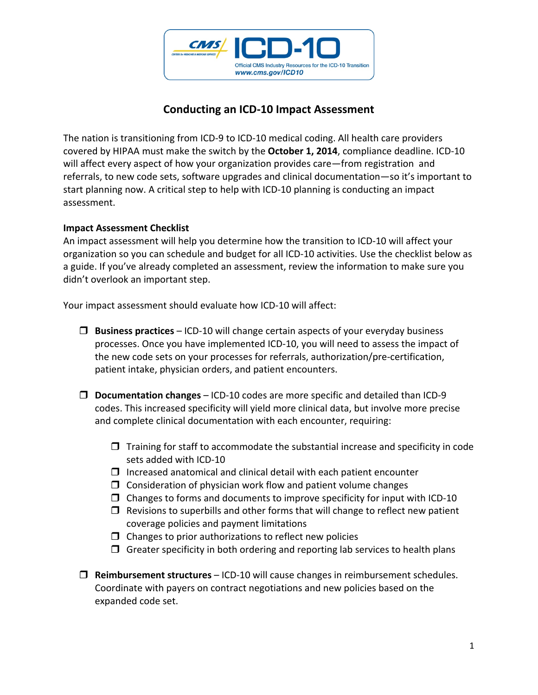

## **Conducting an ICD‐10 Impact Assessment**

The nation is transitioning from ICD‐9 to ICD‐10 medical coding. All health care providers covered by HIPAA must make the switch by the **October 1, 2014**, compliance deadline. ICD‐10 will affect every aspect of how your organization provides care—from registration and referrals, to new code sets, software upgrades and clinical documentation—so it's important to start planning now. A critical step to help with ICD‐10 planning is conducting an impact assessment.

## **Impact Assessment Checklist**

An impact assessment will help you determine how the transition to ICD‐10 will affect your organization so you can schedule and budget for all ICD‐10 activities. Use the checklist below as a guide. If you've already completed an assessment, review the information to make sure you didn't overlook an important step.

Your impact assessment should evaluate how ICD-10 will affect:

- **Business practices** ICD‐10 will change certain aspects of your everyday business processes. Once you have implemented ICD‐10, you will need to assess the impact of the new code sets on your processes for referrals, authorization/pre‐certification, patient intake, physician orders, and patient encounters.
- **Documentation changes** ICD‐10 codes are more specific and detailed than ICD‐9 codes. This increased specificity will yield more clinical data, but involve more precise and complete clinical documentation with each encounter, requiring:
	- $\Box$  Training for staff to accommodate the substantial increase and specificity in code sets added with ICD‐10
	- $\Box$  Increased anatomical and clinical detail with each patient encounter
	- $\Box$  Consideration of physician work flow and patient volume changes
	- $\square$  Changes to forms and documents to improve specificity for input with ICD-10
	- $\Box$  Revisions to superbills and other forms that will change to reflect new patient coverage policies and payment limitations
	- $\Box$  Changes to prior authorizations to reflect new policies
	- $\Box$  Greater specificity in both ordering and reporting lab services to health plans
- **Reimbursement structures** ICD‐10 will cause changes in reimbursement schedules. Coordinate with payers on contract negotiations and new policies based on the expanded code set.